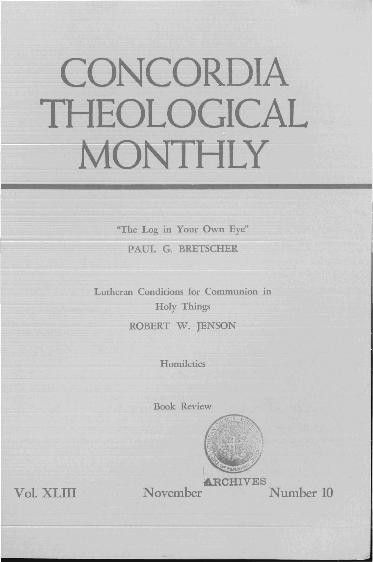# CONCORDIA THEOLOGICAL MONTHLY

"The Log in Your Own Eye" PAUL G. BRETSCHER

Lutheran Conditions for Communion in Holy Things ROBERT W. JENSON

**Homiletics** 

Book Review



ARCHIVES<br>Number 10 November

Vol. XLIII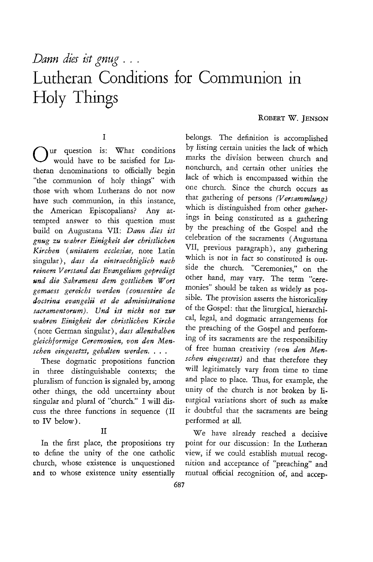## *Dann dies ist gnug* ... Lutheran Conditions for Communion in Holy Things

#### ROBERT W. JENSON

#### I

Uur question is: What conditions would have to be satisfied for Lutheran denominations to officially begin "the communion of holy things" with those with whom Lutherans do not now have such communion, in this instance, the American Episcopalians? Any attempted answer to this question must build on Augustana VII: *Dann dies ist gnug zu wahref Einigkeit der christlichen Kirchen (unitatem ecclesiae,* note Latin singular), *dass da eintraechtiglich nach reinem Verstand das Evangelium gepredigt smd die Sakrament dem gottlichen Wort gemaess gereicht werden (consentire de doctrina evangelii et de administratione sacramentorum). Und ist nicht not zur wahren Einigkeit der christlichen Kirche*  (note German singular), *dass allenthalben gleichformige Ceremonien, von den Menschen eingesetzt, gehalten werden.* . . .

These dogmatic propositions function in three distinguishable contexts; the pluralism of function is signaled by, among other things, the odd uncertainty about singular and plural of "church." I will discuss the three functions in sequence (II to IV below).

to define the unity of the one catholic view, if we could establish mutual recogchurch, whose existence is unquestioned nition and acceptance of "preaching" and and to whose existence unity essentially mutual official recognition of, and accep-

belongs. The definition is accomplished by listing certain unities the lack of which marks the division between church and nonchurch, and certain other unities the lack of which is encompassed within the one church. Since the church occurs as that gathering of persons *(Versammlung)*  which is distinguished from other gatherings in being constimted as a gathering by the preaching of the Gospel and the celebration of the sacraments (Augustana VII, previous paragraph), any gathering which is not in fact so constituted *is* outside the church. "Ceremonies," on the other hand, may vary. The term "cere monies" should be taken as widely as possible. The provision asserts the historicality of the Gospel: that the liturgical, hierarchical, legal, and dogmatic arrangements for the preaching of the Gospel and performing of its sacraments are the responsibility of free human creativity *(von den Menschen eingesetzt)* and that therefore they will legitimately vary from time to time and place to place. Thus, for example, the unity of the church is not broken by liturgical variations short of such as make it doubtful that the sacraments are being performed at all.

II We have already reached a decisive In the first place, the propositions try point for our discussion: In the Lutheran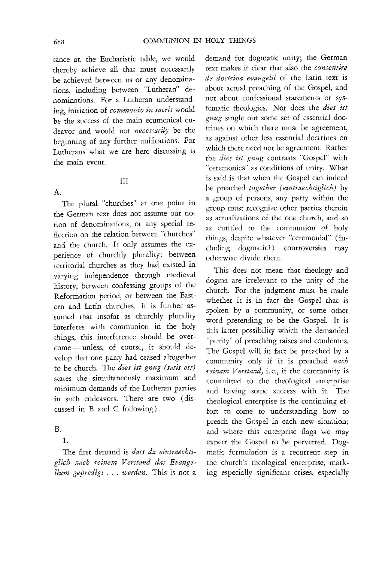tance at, the Eucharistic table, we would thereby achieve all that must necessarily be achieved between us or any denominations, including between "Lutheran" denominations. For a Lutheran understanding, initiation of *communio in sacris* would be the success of the main ecumenical endeavor and would not *necessarily* be the beginning of any further unifications. For Lutherans what we are here discussing is the main event.

#### III

The plural "churches" at one point in the German text does not assume our notion of denominations, or any special reflection on the relation between "churches" and the church. It only assumes the experience of churchly plurality: between territorial churches as they had existed in varying independence through medieval history, between confessing groups of the Reformation period, or between the Eastern and Latin churches. It is further assumed that insofar as churchly plurality interferes with communion in the holy things, this interference should be overcome - unless, of course, it should develop that one party had ceased altogether to be church. The *dies ist gnug (satis est)* states the simultaneously maximum and minimum demands of the Lutheran patties in such endeavors. There are two ( discussed in Band C following).

#### B.

l.

The first demand is *dass da eintraechtiglich nach reinem Verstand das Evangelium gepredigt* . . . *werden.* This is not a

demand for dogmatic unity; the German text makes it clear that also the *consentire de doctrina evangelii* of the Latin text is about actual preaching of the Gospel, and not about confessional statements or systematic theologies. Nor does the *dies ist gnug* single out some set of essential doctrines on which there must be agreement, as against other less essential doctrines on which there need not be agreement. Rather the *dies ist gnug* contrasts "Gospel" with "ceremonies" as conditions of unity. What is said is that when the Gospel can indeed be preached *together (eintraechtiglich)* by a group of persons, any party within the group must recognize other parties therein as actualizations of the one church, and so as entitled to the communjon of holy things, despite whatcver "ceremonial" (including dogmatic!) controversies may otherwise divide them.

This does not mean that theology and dogma are irrelevant to the unity of the church. For the judgment must be made whether it is in fact the Gospel that is spoken by a community, or some other word pretending to be the Gospel. It is this latter possibility which the demanded "purity" of preaching raises and condemns. The Gospel will in fact be preached by a community only if it is preached *nach reinam Verstand,* i. e., if the community is committed to the theological enterprise and having some success with it. The theological enterprise is the continuing effort to come to understanding how to preach the Gospel in each new situation; and where this enterprise flags we may expect the Gospel to be perverted. Dogmatic formulation is a recurrent step in the church's theological enterprise, marking especially significant crises, especially

A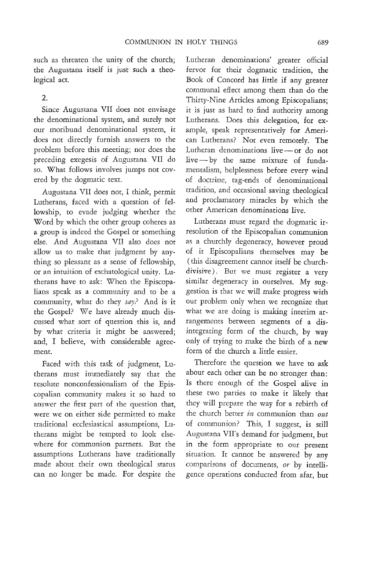such as threaten the unity of the church; the Augustana itself is just such a theological act.

### 2.

Since Augustana VII does not envisage the denominational system, and surely not our moribund denominational system, it does not directly furnish answers to the problem before this meeting; nor does the preceding exegesis of Augustana VII do so. What follows involves jumps not covered by the dogmatic text.

Augustana VII does not, I think, permit Lutherans, faced with a question of fellowship, to evade judging whether the Word by which the other group coheres as a group is indeed the Gospel or something else. And Augustana VII also does not allow us to make that judgment by anything so pleasant as a sense of fellowship, or an intuition of eschatological unity. Lutherans have to ask: When the Episcopalians speak as a community and to be a community, what do they *say?* And is it the Gospel? We have already much discussed what sort of question this is, and by what criteria it might be answered; and, I believe, with considerable agreement.

Faced with this task of judgment, Lutherans must immediately say that the resolute nonconfessionalism of the Episcopalian community makes it so hard to answer the first part of the question that, were we on either side permitted to make traditional ecclesiastical assumptions, Lutherans might be tempted to look elsewhere for communion partners. But the assumptions Lutherans have traditionally made about their own theological status can no longer be made. For despite the

Lutheran denominations' greater official fervor for their dogmatic tradition, the Book of Concord has little if any greater communal effect among them than do the Thirty-Nine Articles among Episcopalians; it is just as hard to find authority among Lutherans. Does this delegation, for example, speak representatively for American Lutherans? Not even remotely. The Lutheran denominations live - or do not live - by the same mixture of fundamentalism, helplessness before every wind of doctrine, tag-ends of denominational tradition, and occasional saving theological and proclamatory miracles by which the other American denominations live.

Lutherans must regard the dogmatic irresolution of the Episcopalian communion as a churchly degeneracy, however proud of it Episcopalians themselves may be (this disagreement cannot itself be churchdivisive). But we must register a very similar degeneracy in ourselves. My suggestion is that we will make progress with our problem only when we recognize that what we are doing is making interim arrangements between segments of a disintegrating form of the church, by way only of trying to make the birth of a new form of the church a little easier.

Therefore the question we have to ask about each other can be no stronger than: Is there enough of the Gospel alive in these two parties to make it likely that they will prepare the way for a rebirth of the church better *in* communion than *out*  of communion? This, I suggest, is still Augustana VII's demand for judgment, but in the form appropriate to our present situation. It cannot be answered by any comparisons of documents, *or* by intelligence operations conducted from afar, but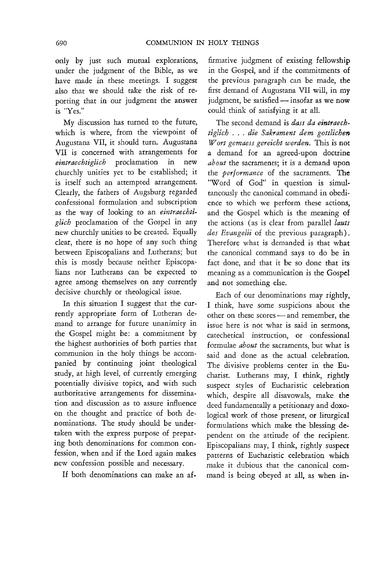only by just such mutual explorations, under the judgment of the Bible, as we have made in these meetings. I suggest also that we should take the risk of reporting that in our judgment the answer is "Yes."

My discussion has turned to the future, which is where, from the viewpoint of Augustana VII, it should turn. Augustana VII is concerned with arrangements for<br>  $eintraechiolich$  proclamation in new *eintraecbtiglicb* proclamation in new churchly unities yet to be established; it is itself such an attempted arrangement. Clearly, the fathers of Augsburg regarded confessional formulation and subscription as the way of looking to an *eintraechtiglicb* proclamation of the Gospel in any new churchly unities to be created. Equally clear, there is no hope of any such thing between Episcopalians and Lutherans; but this is mostly because neither Episcopalians nor Lutherans can be expected to agree among themselves on any currently decisive churchly or theological issue.

In this situation I suggest that the currently appropriate form of Lutheran demand to arrange for future unanimity in the Gospel might be: a commitment by the highest authorities of both parties that communion in the holy things be accompanied by continuing joint theological study, at high level, of currently emerging potentially divisive topics, and with such authoritative arrangements for dissemination and discussion as to assure influence on the thought and practice of both denominations. The study should be undertaken with the express purpose of preparing both denominations for common confession, when and if the Lord again makes new confession possible and necessary.

If both denominations can make an af-

firmative judgment of existing fellowship in the Gospel, and if the commitments of the previous paragraph can be made, the first demand of Augustana VII will, in my judgment, be satisfied - insofar as we now could think of satisfying it at all.

The second demand is *dass da emtraechtiglicb* ... *die Sakrament dem gottlichen Wort gemaess gereicht werden.* This is not a demand for an agreed-upon doctrine *about* the sacraments; it is a demand upon the *performance* of the sacraments. The "Word of God" in question is simultaneously the canonical command in obedience to which we perform these actions, and the Gospel which is the meaning of the actions (as is clear from parallel *Jauts des Evangelii* of rhe previous paragraph). Therefore what is demanded is that what the canonical command says to do be in fact done, and that it be so done that its meaning as a communication is the Gospel and not something else.

Each of our denominations may rightly, I think, have some suspicions about the other on these scores - and remember, the issue here is not what is said in sermons, catechetical instruction, or confessional formulae *about* the sacraments, but what is said and done as the actual celebration. The divisive problems center in the Eucharist. Lutherans may, I think, rightly suspect styles of Eucharistic celebration which, despite all disavowals, make the deed fundamentally a petitionary and doxological work of those present, or liturgical formulations which make the blessing dependent on the attitude of the recipient. Episcopalians may, I think, rightly suspect patterns of Eucharistic celebration which make it dubious that the canonical command is being obeyed at all, as when in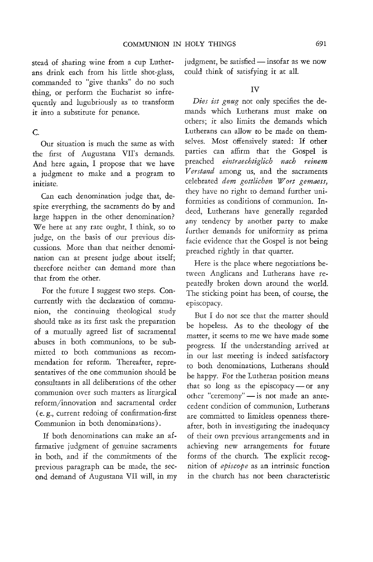stead of sharing wine from a cup Lutherans drink each from his little shot-glass, commanded to "give thanks" do no such thing, or perform the Eucharist so infrequently and lugubriously as to transform it into a substitute for penance.

#### c.

Our situation is much the same as with the first of Augustana VII's demands. And here again, I propose that we have a judgment to make and a program to initiate.

Can each denomination judge that, despite everything, the sacraments do by and large happen in the other denomination? We here at any rate ought, I think, so to judge, on the basis of our previous discussions. More than that neither denomination can at present judge about itself; therefore neither can demand more than that from the other.

For the future I suggest two steps. Concurrently with the declaration of communion, the continuing theological study should take as its first task the preparation of a mutually agreed list of sacramental abuses in both communions, to be submitted to both communions as recommendation for reform. Thereafter, representatives of the one communion should be consultants in all deliberations of the other communion over such matters as liturgical reform/innovation and sacramental order (e. g., current redoing of confirmation-first Communion in both denominations).

If both denominations can make an affirmative judgment of genuine sacraments in both, and if the commitments of the previous paragraph can be made, the second demand of Augustana VII will, in my judgment, be satisfied  $-$  insofar as we now could think of satisfying it at all.

#### IV

*Dies ist gnug* not only specifies the demands which Lutherans must make on others; it also limits the demands which Lutherans can allow to be made on themselves. Most offensively stated: If other parties can affirm that the Gospel is preached *eintt'aechtiglich nach reinem Ventand* among us, and the sacraments celebrated *dem gottlichen Wort gemaess,*  they have no right to demand further uniformities as conditions of communion. Indeed, Lutherans have generally regarded any tendency by another party to make further demands for uniformity as prima facie evidence that the Gospel is not being preached rightly in that quarter.

Here is the place where negotiations between Anglicans and Lutherans have repeatedly broken down around the world. The sticking point has been, of course, the episcopacy.

But I do not see that the matter should be hopeless. As to the theology of the matter, it seems to me we have made some progress. If the understanding arrived at in our last meeting is indeed satisfactory to both denominations, Lutherans should be happy. For the Lutheran position means that so long as the episcopacy - or any other "ceremony" - is not made an antecedent condition of communion, Lutherans are committed to limitless openness thereafter, both in investigating the inadequacy of their own previous arrangements and in achieving new arrangements for future forms of the church. The explicit recognition of *episcope* as an intrinsic function in the church has not been characteristic